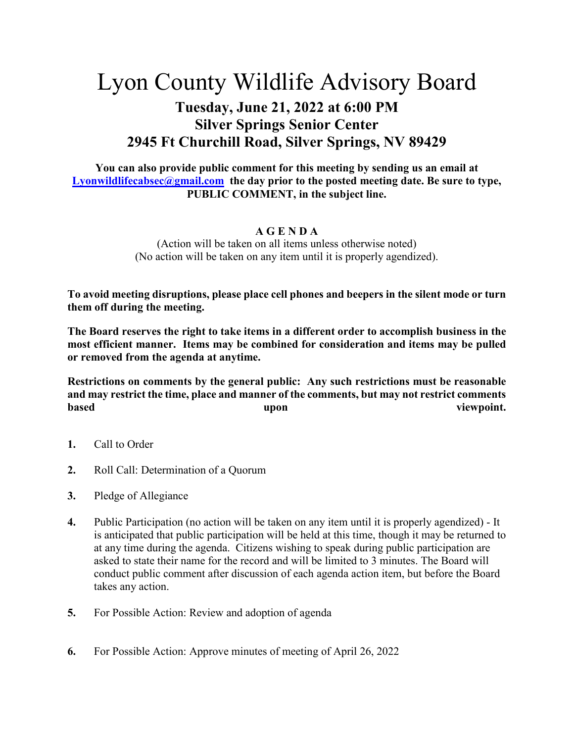## Lyon County Wildlife Advisory Board

## **Tuesday, June 21, 2022 at 6:00 PM Silver Springs Senior Center 2945 Ft Churchill Road, Silver Springs, NV 89429**

**You can also provide public comment for this meeting by sending us an email at [Lyonwildlifecabsec@gmail.com](mailto:Lyonwildlifecabsec@gmail.com) the day prior to the posted meeting date. Be sure to type, PUBLIC COMMENT, in the subject line.** 

## **A G E N D A**

(Action will be taken on all items unless otherwise noted) (No action will be taken on any item until it is properly agendized).

**To avoid meeting disruptions, please place cell phones and beepers in the silent mode or turn them off during the meeting.**

**The Board reserves the right to take items in a different order to accomplish business in the most efficient manner. Items may be combined for consideration and items may be pulled or removed from the agenda at anytime.** 

**Restrictions on comments by the general public: Any such restrictions must be reasonable and may restrict the time, place and manner of the comments, but may not restrict comments based upon viewpoint.**

- **1.** Call to Order
- **2.** Roll Call: Determination of a Quorum
- **3.** Pledge of Allegiance
- **4.** Public Participation (no action will be taken on any item until it is properly agendized) It is anticipated that public participation will be held at this time, though it may be returned to at any time during the agenda. Citizens wishing to speak during public participation are asked to state their name for the record and will be limited to 3 minutes. The Board will conduct public comment after discussion of each agenda action item, but before the Board takes any action.
- **5.** For Possible Action: Review and adoption of agenda
- **6.** For Possible Action: Approve minutes of meeting of April 26, 2022